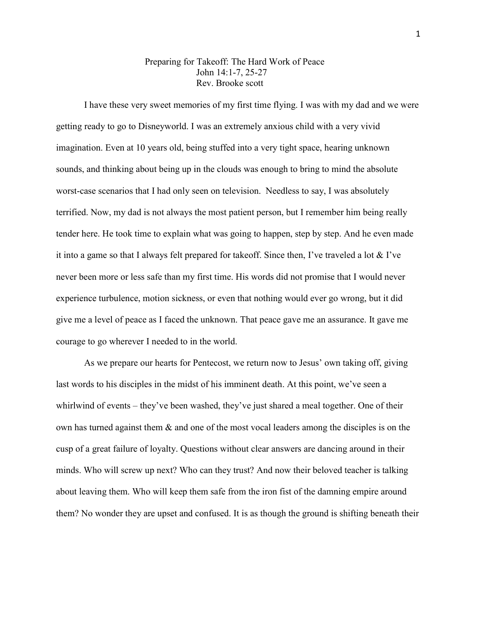## Preparing for Takeoff: The Hard Work of Peace John 14:1-7, 25-27 Rev. Brooke scott

I have these very sweet memories of my first time flying. I was with my dad and we were getting ready to go to Disneyworld. I was an extremely anxious child with a very vivid imagination. Even at 10 years old, being stuffed into a very tight space, hearing unknown sounds, and thinking about being up in the clouds was enough to bring to mind the absolute worst-case scenarios that I had only seen on television. Needless to say, I was absolutely terrified. Now, my dad is not always the most patient person, but I remember him being really tender here. He took time to explain what was going to happen, step by step. And he even made it into a game so that I always felt prepared for takeoff. Since then, I've traveled a lot & I've never been more or less safe than my first time. His words did not promise that I would never experience turbulence, motion sickness, or even that nothing would ever go wrong, but it did give me a level of peace as I faced the unknown. That peace gave me an assurance. It gave me courage to go wherever I needed to in the world.

As we prepare our hearts for Pentecost, we return now to Jesus' own taking off, giving last words to his disciples in the midst of his imminent death. At this point, we've seen a whirlwind of events – they've been washed, they've just shared a meal together. One of their own has turned against them  $\&$  and one of the most vocal leaders among the disciples is on the cusp of a great failure of loyalty. Questions without clear answers are dancing around in their minds. Who will screw up next? Who can they trust? And now their beloved teacher is talking about leaving them. Who will keep them safe from the iron fist of the damning empire around them? No wonder they are upset and confused. It is as though the ground is shifting beneath their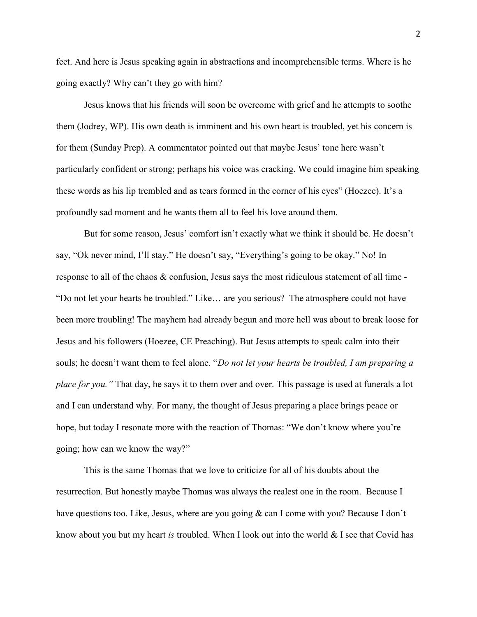feet. And here is Jesus speaking again in abstractions and incomprehensible terms. Where is he going exactly? Why can't they go with him?

 Jesus knows that his friends will soon be overcome with grief and he attempts to soothe them (Jodrey, WP). His own death is imminent and his own heart is troubled, yet his concern is for them (Sunday Prep). A commentator pointed out that maybe Jesus' tone here wasn't particularly confident or strong; perhaps his voice was cracking. We could imagine him speaking these words as his lip trembled and as tears formed in the corner of his eyes" (Hoezee). It's a profoundly sad moment and he wants them all to feel his love around them.

But for some reason, Jesus' comfort isn't exactly what we think it should be. He doesn't say, "Ok never mind, I'll stay." He doesn't say, "Everything's going to be okay." No! In response to all of the chaos & confusion, Jesus says the most ridiculous statement of all time - "Do not let your hearts be troubled." Like… are you serious? The atmosphere could not have been more troubling! The mayhem had already begun and more hell was about to break loose for Jesus and his followers (Hoezee, CE Preaching). But Jesus attempts to speak calm into their souls; he doesn't want them to feel alone. "Do not let your hearts be troubled, I am preparing a place for you." That day, he says it to them over and over. This passage is used at funerals a lot and I can understand why. For many, the thought of Jesus preparing a place brings peace or hope, but today I resonate more with the reaction of Thomas: "We don't know where you're going; how can we know the way?"

This is the same Thomas that we love to criticize for all of his doubts about the resurrection. But honestly maybe Thomas was always the realest one in the room. Because I have questions too. Like, Jesus, where are you going & can I come with you? Because I don't know about you but my heart is troubled. When I look out into the world  $\&$  I see that Covid has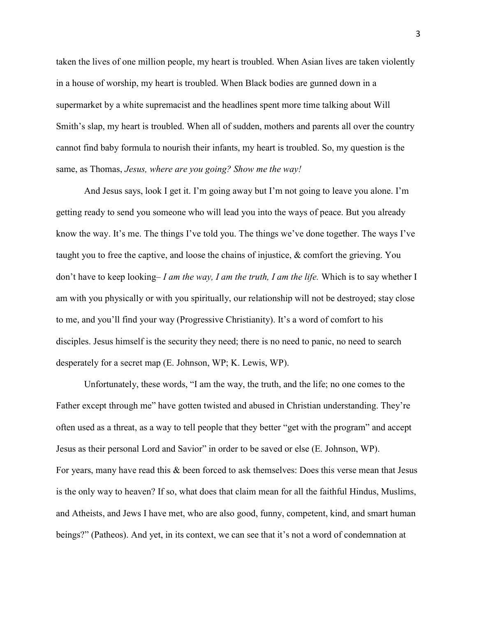taken the lives of one million people, my heart is troubled. When Asian lives are taken violently in a house of worship, my heart is troubled. When Black bodies are gunned down in a supermarket by a white supremacist and the headlines spent more time talking about Will Smith's slap, my heart is troubled. When all of sudden, mothers and parents all over the country cannot find baby formula to nourish their infants, my heart is troubled. So, my question is the same, as Thomas, Jesus, where are you going? Show me the way!

And Jesus says, look I get it. I'm going away but I'm not going to leave you alone. I'm getting ready to send you someone who will lead you into the ways of peace. But you already know the way. It's me. The things I've told you. The things we've done together. The ways I've taught you to free the captive, and loose the chains of injustice, & comfort the grieving. You don't have to keep looking– I am the way, I am the truth, I am the life. Which is to say whether I am with you physically or with you spiritually, our relationship will not be destroyed; stay close to me, and you'll find your way (Progressive Christianity). It's a word of comfort to his disciples. Jesus himself is the security they need; there is no need to panic, no need to search desperately for a secret map (E. Johnson, WP; K. Lewis, WP).

Unfortunately, these words, "I am the way, the truth, and the life; no one comes to the Father except through me" have gotten twisted and abused in Christian understanding. They're often used as a threat, as a way to tell people that they better "get with the program" and accept Jesus as their personal Lord and Savior" in order to be saved or else (E. Johnson, WP). For years, many have read this & been forced to ask themselves: Does this verse mean that Jesus is the only way to heaven? If so, what does that claim mean for all the faithful Hindus, Muslims, and Atheists, and Jews I have met, who are also good, funny, competent, kind, and smart human beings?" (Patheos). And yet, in its context, we can see that it's not a word of condemnation at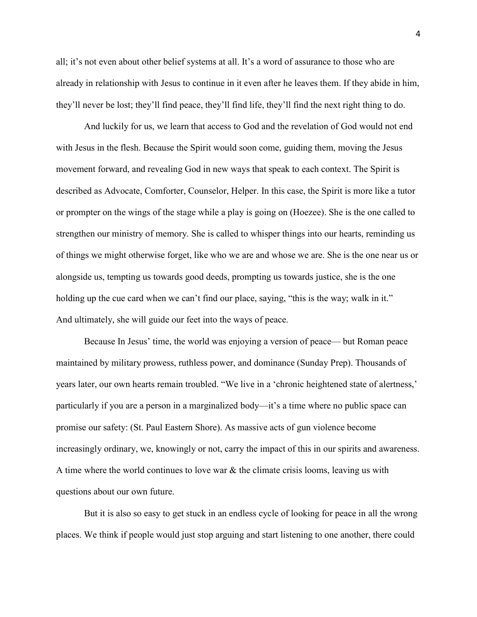all; it's not even about other belief systems at all. It's a word of assurance to those who are already in relationship with Jesus to continue in it even after he leaves them. If they abide in him, they'll never be lost; they'll find peace, they'll find life, they'll find the next right thing to do.

 And luckily for us, we learn that access to God and the revelation of God would not end with Jesus in the flesh. Because the Spirit would soon come, guiding them, moving the Jesus movement forward, and revealing God in new ways that speak to each context. The Spirit is described as Advocate, Comforter, Counselor, Helper. In this case, the Spirit is more like a tutor or prompter on the wings of the stage while a play is going on (Hoezee). She is the one called to strengthen our ministry of memory. She is called to whisper things into our hearts, reminding us of things we might otherwise forget, like who we are and whose we are. She is the one near us or alongside us, tempting us towards good deeds, prompting us towards justice, she is the one holding up the cue card when we can't find our place, saying, "this is the way; walk in it." And ultimately, she will guide our feet into the ways of peace.

Because In Jesus' time, the world was enjoying a version of peace— but Roman peace maintained by military prowess, ruthless power, and dominance (Sunday Prep). Thousands of years later, our own hearts remain troubled. "We live in a 'chronic heightened state of alertness,' particularly if you are a person in a marginalized body—it's a time where no public space can promise our safety: (St. Paul Eastern Shore). As massive acts of gun violence become increasingly ordinary, we, knowingly or not, carry the impact of this in our spirits and awareness. A time where the world continues to love war  $\&$  the climate crisis looms, leaving us with questions about our own future.

But it is also so easy to get stuck in an endless cycle of looking for peace in all the wrong places. We think if people would just stop arguing and start listening to one another, there could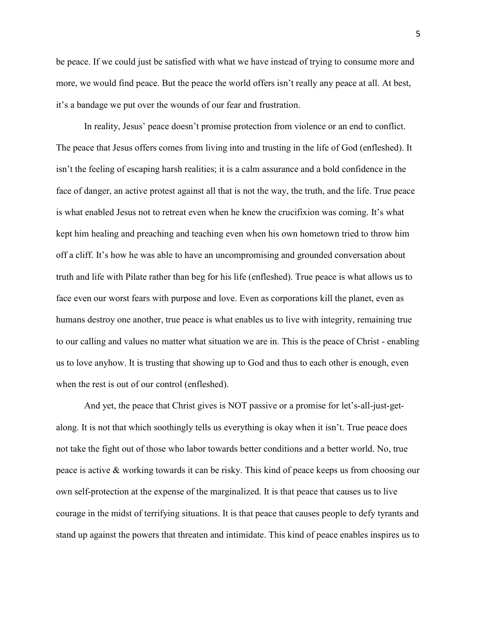be peace. If we could just be satisfied with what we have instead of trying to consume more and more, we would find peace. But the peace the world offers isn't really any peace at all. At best, it's a bandage we put over the wounds of our fear and frustration.

In reality, Jesus' peace doesn't promise protection from violence or an end to conflict. The peace that Jesus offers comes from living into and trusting in the life of God (enfleshed). It isn't the feeling of escaping harsh realities; it is a calm assurance and a bold confidence in the face of danger, an active protest against all that is not the way, the truth, and the life. True peace is what enabled Jesus not to retreat even when he knew the crucifixion was coming. It's what kept him healing and preaching and teaching even when his own hometown tried to throw him off a cliff. It's how he was able to have an uncompromising and grounded conversation about truth and life with Pilate rather than beg for his life (enfleshed). True peace is what allows us to face even our worst fears with purpose and love. Even as corporations kill the planet, even as humans destroy one another, true peace is what enables us to live with integrity, remaining true to our calling and values no matter what situation we are in. This is the peace of Christ - enabling us to love anyhow. It is trusting that showing up to God and thus to each other is enough, even when the rest is out of our control (enfleshed).

And yet, the peace that Christ gives is NOT passive or a promise for let's-all-just-getalong. It is not that which soothingly tells us everything is okay when it isn't. True peace does not take the fight out of those who labor towards better conditions and a better world. No, true peace is active & working towards it can be risky. This kind of peace keeps us from choosing our own self-protection at the expense of the marginalized. It is that peace that causes us to live courage in the midst of terrifying situations. It is that peace that causes people to defy tyrants and stand up against the powers that threaten and intimidate. This kind of peace enables inspires us to